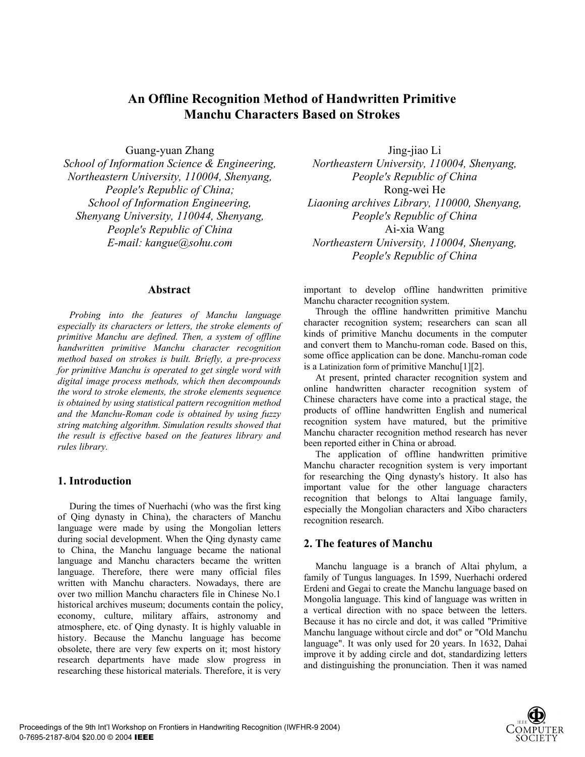# **An Offline Recognition Method of Handwritten Primitive Manchu Characters Based on Strokes**

Guang-yuan Zhang

*School of Information Science & Engineering, Northeastern University, 110004, Shenyang, People's Republic of China; School of Information Engineering, Shenyang University, 110044, Shenyang, People's Republic of China E-mail: kangue@sohu.com* 

#### **Abstract**

*Probing into the features of Manchu language especially its characters or letters, the stroke elements of primitive Manchu are defined. Then, a system of offline handwritten primitive Manchu character recognition method based on strokes is built. Briefly, a pre-process for primitive Manchu is operated to get single word with digital image process methods, which then decompounds the word to stroke elements, the stroke elements sequence is obtained by using statistical pattern recognition method and the Manchu-Roman code is obtained by using fuzzy string matching algorithm. Simulation results showed that the result is effective based on the features library and rules library.* 

# **1. Introduction**

During the times of Nuerhachi (who was the first king of Qing dynasty in China), the characters of Manchu language were made by using the Mongolian letters during social development. When the Qing dynasty came to China, the Manchu language became the national language and Manchu characters became the written language. Therefore, there were many official files written with Manchu characters. Nowadays, there are over two million Manchu characters file in Chinese No.1 historical archives museum; documents contain the policy, economy, culture, military affairs, astronomy and atmosphere, etc. of Qing dynasty. It is highly valuable in history. Because the Manchu language has become obsolete, there are very few experts on it; most history research departments have made slow progress in researching these historical materials. Therefore, it is very

Jing-jiao Li *Northeastern University, 110004, Shenyang, People's Republic of China*  Rong-wei He *Liaoning archives Library, 110000, Shenyang, People's Republic of China*  Ai-xia Wang *Northeastern University, 110004, Shenyang, People's Republic of China* 

important to develop offline handwritten primitive Manchu character recognition system.

Through the offline handwritten primitive Manchu character recognition system; researchers can scan all kinds of primitive Manchu documents in the computer and convert them to Manchu-roman code. Based on this, some office application can be done. Manchu-roman code is a Latinization form of primitive Manchu[1][2].

At present, printed character recognition system and online handwritten character recognition system of Chinese characters have come into a practical stage, the products of offline handwritten English and numerical recognition system have matured, but the primitive Manchu character recognition method research has never been reported either in China or abroad.

The application of offline handwritten primitive Manchu character recognition system is very important for researching the Qing dynasty's history. It also has important value for the other language characters recognition that belongs to Altai language family, especially the Mongolian characters and Xibo characters recognition research.

# **2. The features of Manchu**

Manchu language is a branch of Altai phylum, a family of Tungus languages. In 1599, Nuerhachi ordered Erdeni and Gegai to create the Manchu language based on Mongolia language. This kind of language was written in a vertical direction with no space between the letters. Because it has no circle and dot, it was called "Primitive Manchu language without circle and dot" or "Old Manchu language". It was only used for 20 years. In 1632, Dahai improve it by adding circle and dot, standardizing letters and distinguishing the pronunciation. Then it was named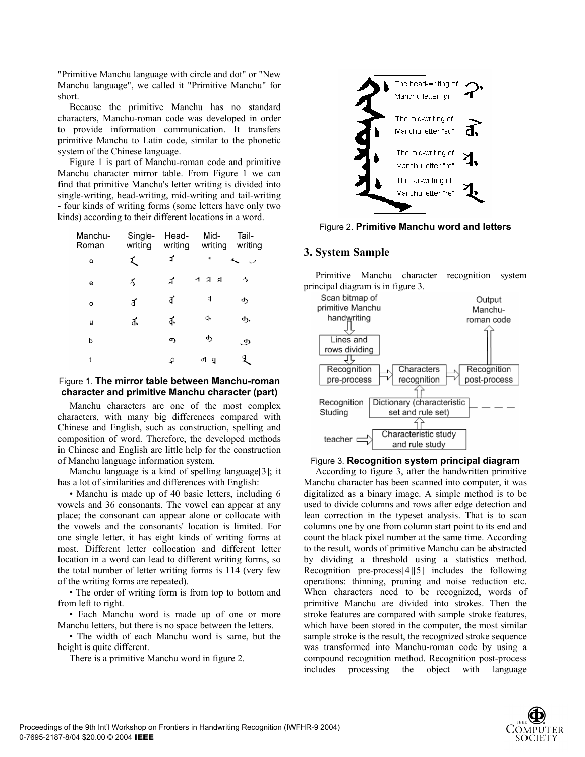"Primitive Manchu language with circle and dot" or "New Manchu language", we called it "Primitive Manchu" for short.

Because the primitive Manchu has no standard characters, Manchu-roman code was developed in order to provide information communication. It transfers primitive Manchu to Latin code, similar to the phonetic system of the Chinese language.

Figure 1 is part of Manchu-roman code and primitive Manchu character mirror table. From Figure 1 we can find that primitive Manchu's letter writing is divided into single-writing, head-writing, mid-writing and tail-writing - four kinds of writing forms (some letters have only two kinds) according to their different locations in a word.

| Manchu-<br>Roman | Single-<br>writing | Head-<br>writing | Mid-<br>writing | Tail-<br>writing |
|------------------|--------------------|------------------|-----------------|------------------|
| a                |                    | ゴ                | ٠               |                  |
| е                | そ                  | ゴ                |                 | Ą,               |
| $\circ$          | ส                  | ส                | Þ               | Ⴛ                |
| u                | る                  | る                | ф.              | Ⴛ,               |
| b                |                    | Φ,               | Ⴛ               | ൗ                |
| t                |                    | ₽                | ി 9             |                  |

#### Figure 1. **The mirror table between Manchu-roman character and primitive Manchu character (part)**

Manchu characters are one of the most complex characters, with many big differences compared with Chinese and English, such as construction, spelling and composition of word. Therefore, the developed methods in Chinese and English are little help for the construction of Manchu language information system.

Manchu language is a kind of spelling language[3]; it has a lot of similarities and differences with English:

• Manchu is made up of 40 basic letters, including 6 vowels and 36 consonants. The vowel can appear at any place; the consonant can appear alone or collocate with the vowels and the consonants' location is limited. For one single letter, it has eight kinds of writing forms at most. Different letter collocation and different letter location in a word can lead to different writing forms, so the total number of letter writing forms is 114 (very few of the writing forms are repeated).

• The order of writing form is from top to bottom and from left to right.

• Each Manchu word is made up of one or more Manchu letters, but there is no space between the letters.

• The width of each Manchu word is same, but the height is quite different.

There is a primitive Manchu word in figure 2.



Figure 2. **Primitive Manchu word and letters**

## **3. System Sample**

Primitive Manchu character recognition system principal diagram is in figure 3.



## Figure 3. **Recognition system principal diagram**

According to figure 3, after the handwritten primitive Manchu character has been scanned into computer, it was digitalized as a binary image. A simple method is to be used to divide columns and rows after edge detection and lean correction in the typeset analysis. That is to scan columns one by one from column start point to its end and count the black pixel number at the same time. According to the result, words of primitive Manchu can be abstracted by dividing a threshold using a statistics method. Recognition pre-process[4][5] includes the following operations: thinning, pruning and noise reduction etc. When characters need to be recognized, words of primitive Manchu are divided into strokes. Then the stroke features are compared with sample stroke features, which have been stored in the computer, the most similar sample stroke is the result, the recognized stroke sequence was transformed into Manchu-roman code by using a compound recognition method. Recognition post-process includes processing the object with language

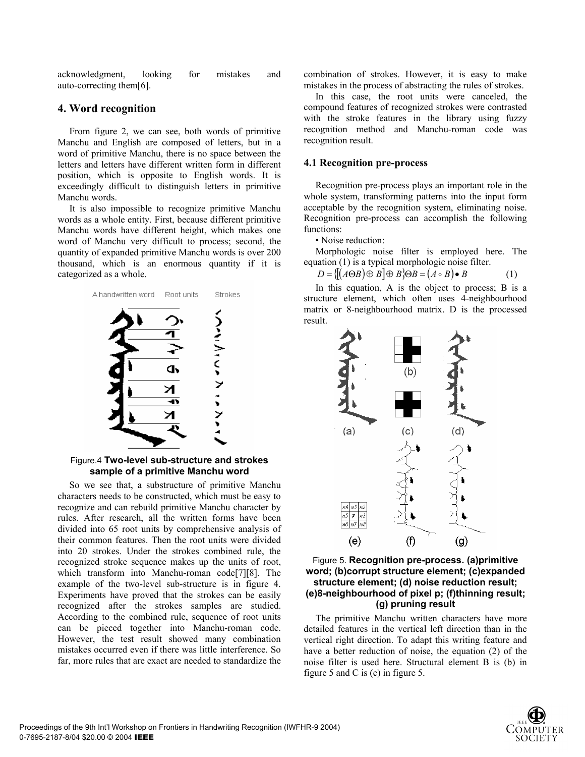acknowledgment, looking for mistakes and auto-correcting them[6].

## **4. Word recognition**

From figure 2, we can see, both words of primitive Manchu and English are composed of letters, but in a word of primitive Manchu, there is no space between the letters and letters have different written form in different position, which is opposite to English words. It is exceedingly difficult to distinguish letters in primitive Manchu words.

It is also impossible to recognize primitive Manchu words as a whole entity. First, because different primitive Manchu words have different height, which makes one word of Manchu very difficult to process; second, the quantity of expanded primitive Manchu words is over 200 thousand, which is an enormous quantity if it is categorized as a whole.



#### Figure.4 **Two-level sub-structure and strokes sample of a primitive Manchu word**

So we see that, a substructure of primitive Manchu characters needs to be constructed, which must be easy to recognize and can rebuild primitive Manchu character by rules. After research, all the written forms have been divided into 65 root units by comprehensive analysis of their common features. Then the root units were divided into 20 strokes. Under the strokes combined rule, the recognized stroke sequence makes up the units of root, which transform into Manchu-roman code[7][8]. The example of the two-level sub-structure is in figure 4. Experiments have proved that the strokes can be easily recognized after the strokes samples are studied. According to the combined rule, sequence of root units can be pieced together into Manchu-roman code. However, the test result showed many combination mistakes occurred even if there was little interference. So far, more rules that are exact are needed to standardize the

combination of strokes. However, it is easy to make mistakes in the process of abstracting the rules of strokes.

In this case, the root units were canceled, the compound features of recognized strokes were contrasted with the stroke features in the library using fuzzy recognition method and Manchu-roman code was recognition result.

#### **4.1 Recognition pre-process**

Recognition pre-process plays an important role in the whole system, transforming patterns into the input form acceptable by the recognition system, eliminating noise. Recognition pre-process can accomplish the following functions:

• Noise reduction:

Morphologic noise filter is employed here. The equation (1) is a typical morphologic noise filter.

$$
D = \{ [(A \odot B) \oplus B] \oplus B \} \odot B = (A \circ B) \bullet B \tag{1}
$$

In this equation, A is the object to process; B is a structure element, which often uses 4-neighbourhood matrix or 8-neighbourhood matrix. D is the processed result.



#### Figure 5. **Recognition pre-process. (a)primitive word; (b)corrupt structure element; (c)expanded structure element; (d) noise reduction result; (e)8-neighbourhood of pixel p; (f)thinning result; (g) pruning result**

The primitive Manchu written characters have more detailed features in the vertical left direction than in the vertical right direction. To adapt this writing feature and have a better reduction of noise, the equation (2) of the noise filter is used here. Structural element B is (b) in figure 5 and C is (c) in figure 5.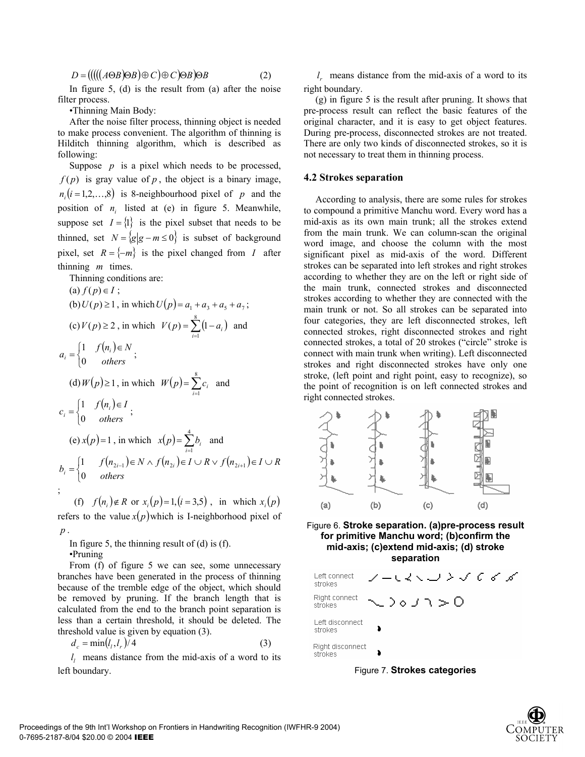$$
D = (((((A \odot B) \odot B) \oplus C) \oplus C) \odot B) \odot B \tag{2}
$$

In figure 5, (d) is the result from (a) after the noise filter process.

•Thinning Main Body:

After the noise filter process, thinning object is needed to make process convenient. The algorithm of thinning is Hilditch thinning algorithm, which is described as following:

Suppose  $p$  is a pixel which needs to be processed,  $f(p)$  is gray value of  $p$ , the object is a binary image,  $n_i$  ( $i = 1, 2, \ldots, 8$ ) is 8-neighbourhood pixel of *p* and the position of  $n_i$  listed at (e) in figure 5. Meanwhile, suppose set  $I = \{1\}$  is the pixel subset that needs to be thinned, set  $N = \{g|g - m \le 0\}$  is subset of background pixel, set  $R = \{-m\}$  is the pixel changed from *I* after thinning *m* times.

Thinning conditions are:

(a) 
$$
f(p) \in I
$$
;  
\n(b)  $U(p) \ge 1$ , in which  $U(p) = a_1 + a_3 + a_5 + a_7$ ;  
\n(c)  $V(p) \ge 2$ , in which  $V(p) = \sum_{i=1}^{8} (1 - a_i)$  and  
\n $a_i = \begin{cases} 1 & f(n_i) \in N \\ 0 & \text{others} \end{cases}$ ;  
\n(d)  $W(p) > 1$  in which  $W(p) = \sum_{i=1}^{8} a_i$  and

(d) 
$$
W(p) \ge 1
$$
, in which  $W(p) = \sum_{i=1}^{n} c_i$  and

$$
c_i = \begin{cases} 1 & f(n_i) \in I \\ 0 & others \end{cases}
$$
  
(e)  $x(p) = 1$ , in which  $x(p) = \sum_{i=1}^{4} b_i$  and  

$$
b_i = \begin{cases} 1 & f(n_{2i-1}) \in N \land f(n_{2i}) \in I \cup R \lor f(n_{2i+1}) \in I \cup R \\ 0 & others \end{cases}
$$

(f) 
$$
f(n_i) \notin R
$$
 or  $x_i(p) = 1, (i = 3.5)$ , in which  $x_i(p)$ 

refers to the value  $x(p)$  which is I-neighborhood pixel of *p* .

In figure 5, the thinning result of (d) is (f).

•Pruning

From (f) of figure 5 we can see, some unnecessary branches have been generated in the process of thinning because of the tremble edge of the object, which should be removed by pruning. If the branch length that is calculated from the end to the branch point separation is less than a certain threshold, it should be deleted. The threshold value is given by equation (3).

$$
d_c = \min(l_l, l_r)/4 \tag{3}
$$

 $l_i$  means distance from the mid-axis of a word to its left boundary.

*l*<sub>*r*</sub> means distance from the mid-axis of a word to its right boundary.

(g) in figure 5 is the result after pruning. It shows that pre-process result can reflect the basic features of the original character, and it is easy to get object features. During pre-process, disconnected strokes are not treated. There are only two kinds of disconnected strokes, so it is not necessary to treat them in thinning process.

#### **4.2 Strokes separation**

According to analysis, there are some rules for strokes to compound a primitive Manchu word. Every word has a mid-axis as its own main trunk; all the strokes extend from the main trunk. We can column-scan the original word image, and choose the column with the most significant pixel as mid-axis of the word. Different strokes can be separated into left strokes and right strokes according to whether they are on the left or right side of the main trunk, connected strokes and disconnected strokes according to whether they are connected with the main trunk or not. So all strokes can be separated into four categories, they are left disconnected strokes, left connected strokes, right disconnected strokes and right connected strokes, a total of 20 strokes ("circle" stroke is connect with main trunk when writing). Left disconnected strokes and right disconnected strokes have only one stroke, (left point and right point, easy to recognize), so the point of recognition is on left connected strokes and right connected strokes.



#### Figure 6. **Stroke separation. (a)pre-process result for primitive Manchu word; (b)confirm the mid-axis; (c)extend mid-axis; (d) stroke separation**



Figure 7. **Strokes categories** 

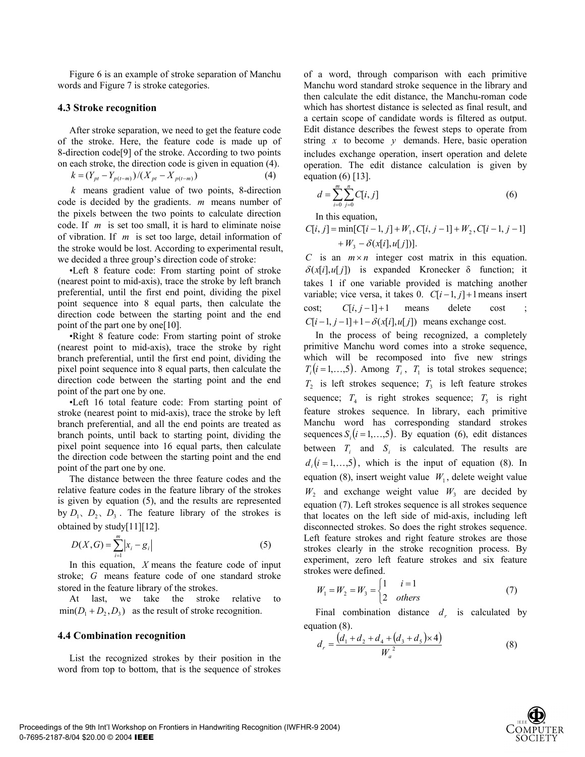Figure 6 is an example of stroke separation of Manchu words and Figure 7 is stroke categories.

#### **4.3 Stroke recognition**

After stroke separation, we need to get the feature code of the stroke. Here, the feature code is made up of 8-direction code[9] of the stroke. According to two points on each stroke, the direction code is given in equation (4).

$$
k = (Y_{pt} - Y_{p(t-m)})/(X_{pt} - X_{p(t-m)})
$$
\n(4)

*k* means gradient value of two points, 8-direction code is decided by the gradients. *m* means number of the pixels between the two points to calculate direction code. If *m* is set too small, it is hard to eliminate noise of vibration. If *m* is set too large, detail information of the stroke would be lost. According to experimental result, we decided a three group's direction code of stroke:

•Left 8 feature code: From starting point of stroke (nearest point to mid-axis), trace the stroke by left branch preferential, until the first end point, dividing the pixel point sequence into 8 equal parts, then calculate the direction code between the starting point and the end point of the part one by one[10].

•Right 8 feature code: From starting point of stroke (nearest point to mid-axis), trace the stroke by right branch preferential, until the first end point, dividing the pixel point sequence into 8 equal parts, then calculate the direction code between the starting point and the end point of the part one by one.

•Left 16 total feature code: From starting point of stroke (nearest point to mid-axis), trace the stroke by left branch preferential, and all the end points are treated as branch points, until back to starting point, dividing the pixel point sequence into 16 equal parts, then calculate the direction code between the starting point and the end point of the part one by one.

The distance between the three feature codes and the relative feature codes in the feature library of the strokes is given by equation (5), and the results are represented by  $D_1$ ,  $D_2$ ,  $D_3$ . The feature library of the strokes is obtained by study[11][12].

$$
D(X, G) = \sum_{i=1}^{m} |x_i - g_i|
$$
 (5)

In this equation, *X* means the feature code of input stroke; *G* means feature code of one standard stroke stored in the feature library of the strokes.

At last, we take the stroke relative to  $\min(D_1 + D_2, D_3)$  as the result of stroke recognition.

#### **4.4 Combination recognition**

List the recognized strokes by their position in the word from top to bottom, that is the sequence of strokes of a word, through comparison with each primitive Manchu word standard stroke sequence in the library and then calculate the edit distance, the Manchu-roman code which has shortest distance is selected as final result, and a certain scope of candidate words is filtered as output. Edit distance describes the fewest steps to operate from string  $x$  to become  $y$  demands. Here, basic operation includes exchange operation, insert operation and delete operation. The edit distance calculation is given by equation  $(6)$  [13].

 $=\sum_{i=0}^{m}\sum_{j=0}^{n}$ *i j*  $0 j=0$ In this equation,

*n*

 $d = \sum \sum C[i, j]$ 

 $+W_3 - \delta(x[i], u[j])].$  $C[i, j] = min[C[i-1, j] + W_1, C[i, j-1] + W_2, C[i-1, j-1]$ 

 $[i, j]$  (6)

*C* is an  $m \times n$  integer cost matrix in this equation.  $\delta(x[i], u[i])$  is expanded Kronecker  $\delta$  function; it takes 1 if one variable provided is matching another variable; vice versa, it takes 0.  $C[i-1, j]+1$  means insert cost;  $C[i, j-1]+1$  means delete cost  $C[i-1, j-1]+1-\delta(x[i],u[j])$  means exchange cost.

In the process of being recognized, a completely primitive Manchu word comes into a stroke sequence, which will be recomposed into five new strings  $T_i(i=1,\ldots,5)$ . Among  $T_i$ ,  $T_1$  is total strokes sequence;  $T_2$  is left strokes sequence;  $T_3$  is left feature strokes sequence;  $T_4$  is right strokes sequence;  $T_5$  is right feature strokes sequence. In library, each primitive Manchu word has corresponding standard strokes sequences  $S_i$  ( $i = 1, \ldots, 5$ ). By equation (6), edit distances between  $T_i$  and  $S_i$  is calculated. The results are  $d_i$  ( $i = 1,...,5$ ), which is the input of equation (8). In equation (8), insert weight value  $W_1$ , delete weight value  $W_2$  and exchange weight value  $W_3$  are decided by equation (7). Left strokes sequence is all strokes sequence that locates on the left side of mid-axis, including left disconnected strokes. So does the right strokes sequence. Left feature strokes and right feature strokes are those strokes clearly in the stroke recognition process. By experiment, zero left feature strokes and six feature strokes were defined.

$$
W_1 = W_2 = W_3 = \begin{cases} 1 & i = 1 \\ 2 & others \end{cases}
$$
 (7)

Final combination distance  $d<sub>r</sub>$  is calculated by equation (8).

$$
d_r = \frac{(d_1 + d_2 + d_4 + (d_3 + d_5) \times 4)}{W_a^2}
$$
 (8)